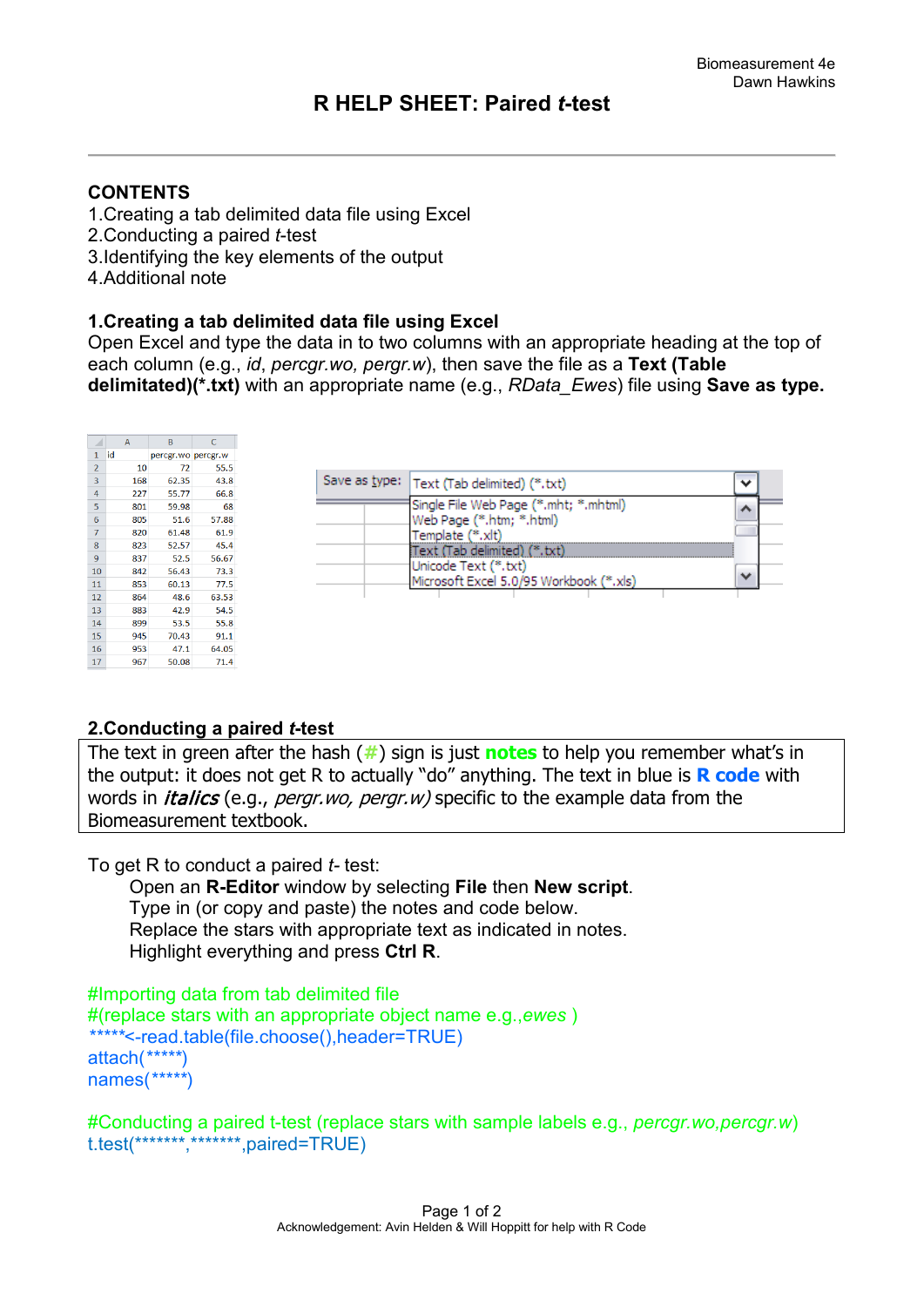# **R HELP SHEET: Paired** *t***-test**

### **CONTENTS**

- 1.Creating a tab delimited data file using Excel
- 2.Conducting a paired *t*-test
- 3.Identifying the key elements of the output
- 4.Additional note

#### **1.Creating a tab delimited data file using Excel**

Open Excel and type the data in to two columns with an appropriate heading at the top of each column (e.g., *id*, *percgr.wo, pergr.w*), then save the file as a **Text (Table delimitated)(\*.txt)** with an appropriate name (e.g., *RData\_Ewes*) file using **Save as type.** 

|                | Α   | В                  | C     |  |
|----------------|-----|--------------------|-------|--|
| 1              | id  | percgr.wo percgr.w |       |  |
| $\overline{2}$ | 10  | 72                 | 55.5  |  |
| 3              | 168 | 62.35              | 43.8  |  |
| 4              | 227 | 55.77              | 66.8  |  |
| 5              | 801 | 59.98              | 68    |  |
| 6              | 805 | 51.6               | 57.88 |  |
| $\overline{7}$ | 820 | 61.48              | 61.9  |  |
| 8              | 823 | 52.57              | 45.4  |  |
| 9              | 837 | 52.5               | 56.67 |  |
| 10             | 842 | 56.43              | 73.3  |  |
| 11             | 853 | 60.13              | 77.5  |  |
| 12             | 864 | 48.6               | 63.53 |  |
| 13             | 883 | 42.9               | 54.5  |  |
| 14             | 899 | 53.5               | 55.8  |  |
| 15             | 945 | 70.43              | 91.1  |  |
| 16             | 953 | 47.1               | 64.05 |  |
| 17             | 967 | 50.08              | 71.4  |  |

| Save as type:  Text (Tab delimited) (*.txt)                                                     |  |
|-------------------------------------------------------------------------------------------------|--|
| Single File Web Page (*.mht; *.mhtml)<br>Web Page (*.htm; *.html)<br>Template (*.xlt)           |  |
| Text (Tab delimited) (*.txt)<br>Unicode Text (*.txt)<br>Microsoft Excel 5.0/95 Workbook (*.xls) |  |

#### **2.Conducting a paired** *t***-test**

The text in green after the hash (**#**) sign is just **notes** to help you remember what's in the output: it does not get R to actually "do" anything. The text in blue is **R code** with words in *italics* (e.g., *pergr.wo, pergr.w*) specific to the example data from the Biomeasurement textbook.

To get R to conduct a paired *t-* test:

 Open an **R-Editor** window by selecting **File** then **New script**. Type in (or copy and paste) the notes and code below. Replace the stars with appropriate text as indicated in notes. Highlight everything and press **Ctrl R**.

```
#Importing data from tab delimited file 
#(replace stars with an appropriate object name e.g.,ewes )
*****<-read.table(file.choose(),header=TRUE)
attach(*****)
names(*****)
```
#Conducting a paired t-test (replace stars with sample labels e.g., *percgr.wo,percgr.w*) t.test(\*\*\*\*\*\*\*,\*\*\*\*\*\*\*,paired=TRUE)